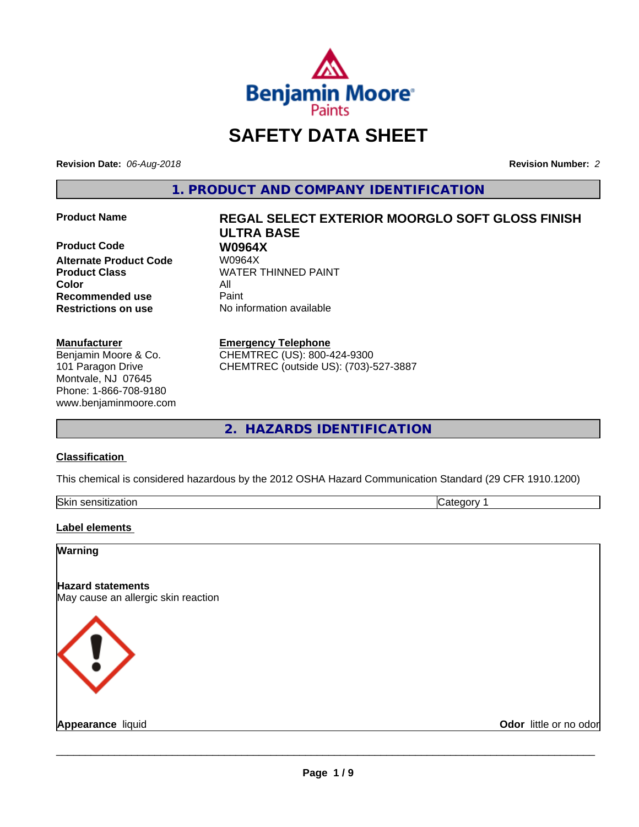

# **SAFETY DATA SHEET**

**Revision Date:** *06-Aug-2018* **Revision Number:** *2*

**1. PRODUCT AND COMPANY IDENTIFICATION**

**Product Code 68 W0964X**<br>Alternate Product Code 68 W0964X **Alternate Product Code Product Class WATER THINNED PAINT Color** All **Recommended use** Paint **Restrictions on use** No information available

#### **Manufacturer**

Benjamin Moore & Co. 101 Paragon Drive Montvale, NJ 07645 Phone: 1-866-708-9180 www.benjaminmoore.com

# **Product Name REGAL SELECT EXTERIOR MOORGLO SOFT GLOSS FINISH ULTRA BASE**

#### **Emergency Telephone**

CHEMTREC (US): 800-424-9300 CHEMTREC (outside US): (703)-527-3887

**2. HAZARDS IDENTIFICATION**

#### **Classification**

This chemical is considered hazardous by the 2012 OSHA Hazard Communication Standard (29 CFR 1910.1200)

| Skin<br>----<br>,ודר<br>auur<br>SCHSILL.<br>. |  |
|-----------------------------------------------|--|

#### **Label elements**

#### **Warning**

**Hazard statements** May cause an allergic skin reaction



**Appearance** liquid **Odor in the original of the original of the original of the original of the original of the original of the original of the original of the original of the original of the original of the original of t**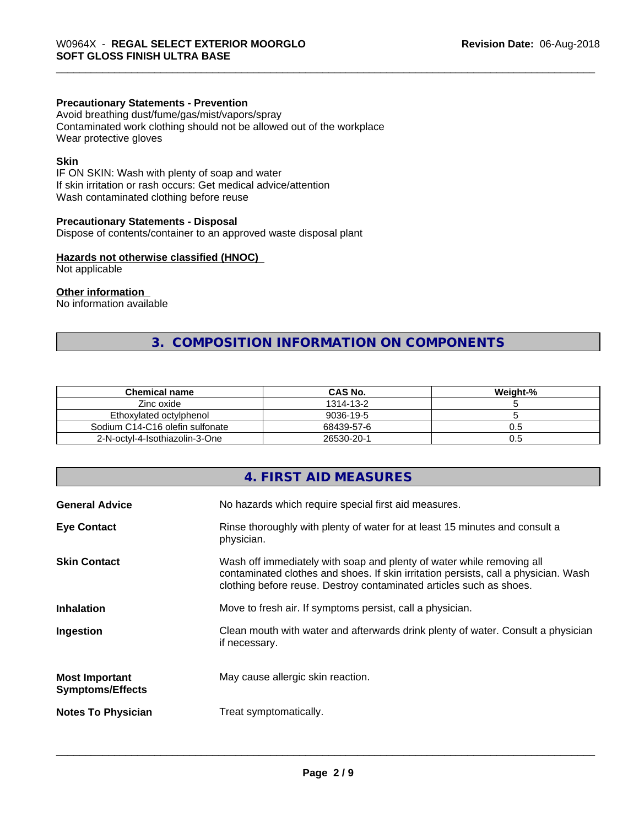#### **Precautionary Statements - Prevention**

Avoid breathing dust/fume/gas/mist/vapors/spray Contaminated work clothing should not be allowed out of the workplace Wear protective gloves

#### **Skin**

IF ON SKIN: Wash with plenty of soap and water If skin irritation or rash occurs: Get medical advice/attention Wash contaminated clothing before reuse

#### **Precautionary Statements - Disposal**

Dispose of contents/container to an approved waste disposal plant

#### **Hazards not otherwise classified (HNOC)**

Not applicable

#### **Other information**

No information available

# **3. COMPOSITION INFORMATION ON COMPONENTS**

| <b>Chemical name</b>            | <b>CAS No.</b> | Weight-% |
|---------------------------------|----------------|----------|
| Zinc oxide                      | 1314-13-2      |          |
| Ethoxylated octylphenol         | 9036-19-5      |          |
| Sodium C14-C16 olefin sulfonate | 68439-57-6     | U.5      |
| 2-N-octyl-4-Isothiazolin-3-One  | 26530-20-1     | U.5      |

# **4. FIRST AID MEASURES**

| <b>General Advice</b>                            | No hazards which require special first aid measures.                                                                                                                                                                                |
|--------------------------------------------------|-------------------------------------------------------------------------------------------------------------------------------------------------------------------------------------------------------------------------------------|
| <b>Eye Contact</b>                               | Rinse thoroughly with plenty of water for at least 15 minutes and consult a<br>physician.                                                                                                                                           |
| <b>Skin Contact</b>                              | Wash off immediately with soap and plenty of water while removing all<br>contaminated clothes and shoes. If skin irritation persists, call a physician. Wash<br>clothing before reuse. Destroy contaminated articles such as shoes. |
| <b>Inhalation</b>                                | Move to fresh air. If symptoms persist, call a physician.                                                                                                                                                                           |
| Ingestion                                        | Clean mouth with water and afterwards drink plenty of water. Consult a physician<br>if necessary.                                                                                                                                   |
| <b>Most Important</b><br><b>Symptoms/Effects</b> | May cause allergic skin reaction.                                                                                                                                                                                                   |
| <b>Notes To Physician</b>                        | Treat symptomatically.                                                                                                                                                                                                              |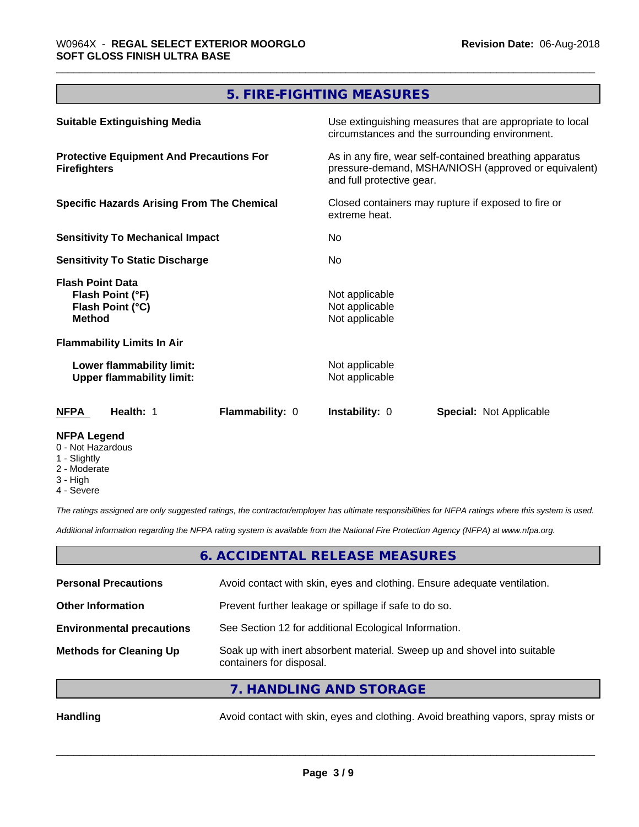# **5. FIRE-FIGHTING MEASURES**

| <b>Suitable Extinguishing Media</b>                                              | Use extinguishing measures that are appropriate to local<br>circumstances and the surrounding environment.                                   |  |
|----------------------------------------------------------------------------------|----------------------------------------------------------------------------------------------------------------------------------------------|--|
| <b>Protective Equipment And Precautions For</b><br><b>Firefighters</b>           | As in any fire, wear self-contained breathing apparatus<br>pressure-demand, MSHA/NIOSH (approved or equivalent)<br>and full protective gear. |  |
| <b>Specific Hazards Arising From The Chemical</b>                                | Closed containers may rupture if exposed to fire or<br>extreme heat.<br>No.<br>No.                                                           |  |
| <b>Sensitivity To Mechanical Impact</b>                                          |                                                                                                                                              |  |
| <b>Sensitivity To Static Discharge</b>                                           |                                                                                                                                              |  |
| <b>Flash Point Data</b><br>Flash Point (°F)<br>Flash Point (°C)<br><b>Method</b> | Not applicable<br>Not applicable<br>Not applicable                                                                                           |  |
| <b>Flammability Limits In Air</b>                                                |                                                                                                                                              |  |
| Lower flammability limit:<br><b>Upper flammability limit:</b>                    | Not applicable<br>Not applicable                                                                                                             |  |
| <b>NFPA</b><br>Health: 1<br>Flammability: 0                                      | <b>Instability: 0</b><br><b>Special: Not Applicable</b>                                                                                      |  |
| <b>NFPA Legend</b>                                                               |                                                                                                                                              |  |

- 0 Not Hazardous
- 1 Slightly
- 2 Moderate
- 3 High
- 4 Severe

*The ratings assigned are only suggested ratings, the contractor/employer has ultimate responsibilities for NFPA ratings where this system is used.*

*Additional information regarding the NFPA rating system is available from the National Fire Protection Agency (NFPA) at www.nfpa.org.*

#### **6. ACCIDENTAL RELEASE MEASURES**

| <b>Personal Precautions</b>      | Avoid contact with skin, eyes and clothing. Ensure adequate ventilation.                             |
|----------------------------------|------------------------------------------------------------------------------------------------------|
| <b>Other Information</b>         | Prevent further leakage or spillage if safe to do so.                                                |
| <b>Environmental precautions</b> | See Section 12 for additional Ecological Information.                                                |
| <b>Methods for Cleaning Up</b>   | Soak up with inert absorbent material. Sweep up and shovel into suitable<br>containers for disposal. |
|                                  | $\overline{z}$ in the start into $\overline{z}$                                                      |

**7. HANDLING AND STORAGE**

Handling **Handling** Avoid contact with skin, eyes and clothing. Avoid breathing vapors, spray mists or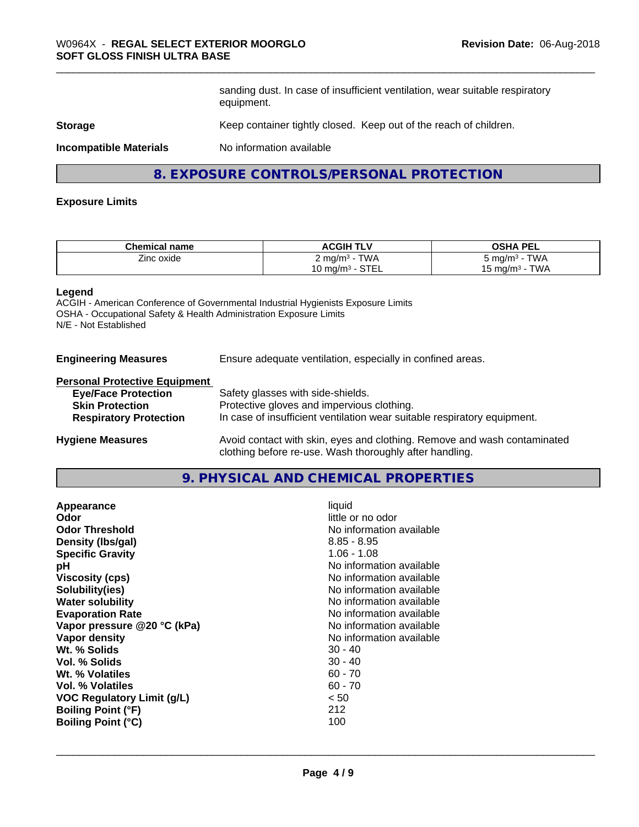sanding dust. In case of insufficient ventilation, wear suitable respiratory equipment.

#### **Storage** Keep container tightly closed. Keep out of the reach of children.

**Incompatible Materials** No information available

### **8. EXPOSURE CONTROLS/PERSONAL PROTECTION**

#### **Exposure Limits**

| <b>Chemical name</b> | <b>ACGIH TLV</b>                             | <b>OSHA PEL</b>             |
|----------------------|----------------------------------------------|-----------------------------|
| --<br>Zinc oxide     | <b>TWA</b><br>∠ ma/m <sup>3</sup>            | <b>TWA</b><br>∍ma/mª        |
|                      | $\cap$ TE<br>Mumq/m <sup>3</sup> ، س<br>ᇰᆝᄂᄂ | T111<br>⊤ma/mª<br>VV/<br>່∪ |

#### **Legend**

ACGIH - American Conference of Governmental Industrial Hygienists Exposure Limits OSHA - Occupational Safety & Health Administration Exposure Limits N/E - Not Established

**Engineering Measures** Ensure adequate ventilation, especially in confined areas.

### **Personal Protective Equipment**

| <b>Eye/Face Protection</b>    | Safety glasses with side-shields.                                        |
|-------------------------------|--------------------------------------------------------------------------|
| <b>Skin Protection</b>        | Protective gloves and impervious clothing.                               |
| <b>Respiratory Protection</b> | In case of insufficient ventilation wear suitable respiratory equipment. |
| .                             |                                                                          |

**Hygiene Measures** Avoid contact with skin, eyes and clothing. Remove and wash contaminated clothing before re-use. Wash thoroughly after handling.

# **9. PHYSICAL AND CHEMICAL PROPERTIES**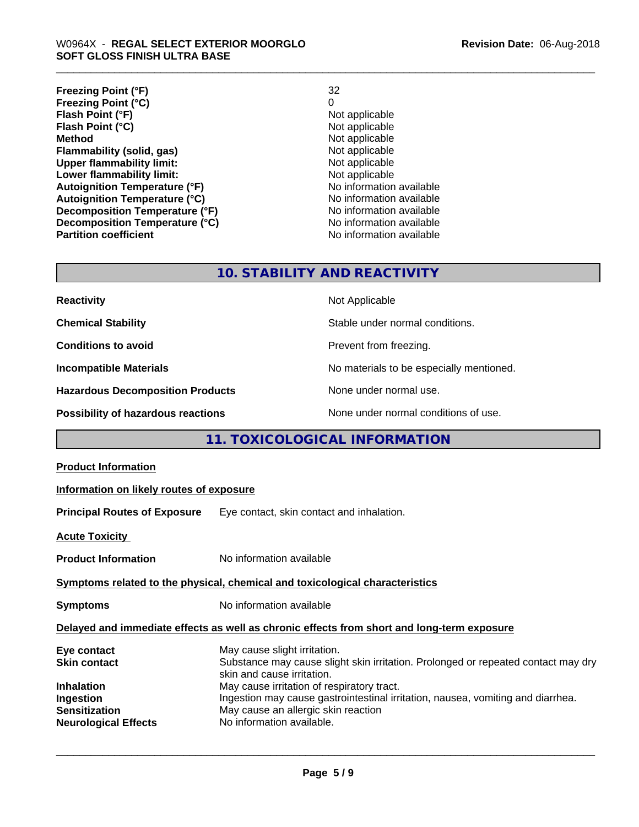**Freezing Point (°F)** 32 **Freezing Point (°C)** 0 **Flash Point (°F)**<br> **Flash Point (°C)**<br> **Flash Point (°C)**<br> **C Flash Point (°C)**<br>Method **Flammability (solid, gas)**<br> **Upper flammability limit:**<br>
Upper flammability limit:<br>  $\begin{array}{ccc}\n\bullet & \bullet & \bullet \\
\bullet & \bullet & \bullet\n\end{array}$  Not applicable **Upper flammability limit:**<br> **Lower flammability limit:**<br>
Not applicable<br>
Not applicable **Lower flammability limit:**<br> **Autoignition Temperature (°F)**<br>
Mo information available **Autoignition Temperature (°F)** Autoignition Temperature (°C) Moinformation available<br>Decomposition Temperature (°F) Noinformation available **Decomposition Temperature (°F) Decomposition Temperature (°C)** No information available **Partition coefficient Contract Contract Contract Contract Contract Contract Contract Contract Contract Contract Contract Contract Contract Contract Contract Contract Contract Contract Contract Contract Contract Contract** 

#### **Revision Date:** 06-Aug-2018

**Not applicable**<br>Not applicable

# **10. STABILITY AND REACTIVITY**

| <b>Reactivity</b>                       | Not Applicable                           |
|-----------------------------------------|------------------------------------------|
| <b>Chemical Stability</b>               | Stable under normal conditions.          |
| <b>Conditions to avoid</b>              | Prevent from freezing.                   |
| <b>Incompatible Materials</b>           | No materials to be especially mentioned. |
| <b>Hazardous Decomposition Products</b> | None under normal use.                   |
| Possibility of hazardous reactions      | None under normal conditions of use.     |

# **11. TOXICOLOGICAL INFORMATION**

| <b>Product Information</b>                                                                                                  |                                                                                                                                                                                                                                                                                                                                                      |  |
|-----------------------------------------------------------------------------------------------------------------------------|------------------------------------------------------------------------------------------------------------------------------------------------------------------------------------------------------------------------------------------------------------------------------------------------------------------------------------------------------|--|
| Information on likely routes of exposure                                                                                    |                                                                                                                                                                                                                                                                                                                                                      |  |
|                                                                                                                             | <b>Principal Routes of Exposure</b> Eye contact, skin contact and inhalation.                                                                                                                                                                                                                                                                        |  |
| <b>Acute Toxicity</b>                                                                                                       |                                                                                                                                                                                                                                                                                                                                                      |  |
| <b>Product Information</b>                                                                                                  | No information available                                                                                                                                                                                                                                                                                                                             |  |
| Symptoms related to the physical, chemical and toxicological characteristics                                                |                                                                                                                                                                                                                                                                                                                                                      |  |
| <b>Symptoms</b>                                                                                                             | No information available                                                                                                                                                                                                                                                                                                                             |  |
| Delayed and immediate effects as well as chronic effects from short and long-term exposure                                  |                                                                                                                                                                                                                                                                                                                                                      |  |
| Eye contact<br><b>Skin contact</b><br><b>Inhalation</b><br>Ingestion<br><b>Sensitization</b><br><b>Neurological Effects</b> | May cause slight irritation.<br>Substance may cause slight skin irritation. Prolonged or repeated contact may dry<br>skin and cause irritation.<br>May cause irritation of respiratory tract.<br>Ingestion may cause gastrointestinal irritation, nausea, vomiting and diarrhea.<br>May cause an allergic skin reaction<br>No information available. |  |
|                                                                                                                             |                                                                                                                                                                                                                                                                                                                                                      |  |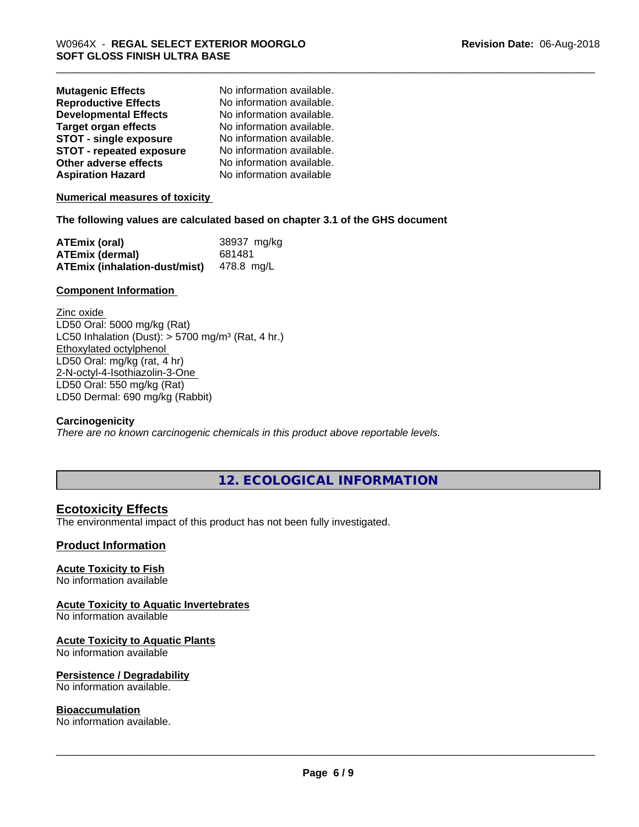| <b>Mutagenic Effects</b>        | No information available. |
|---------------------------------|---------------------------|
| <b>Reproductive Effects</b>     | No information available. |
| <b>Developmental Effects</b>    | No information available. |
| <b>Target organ effects</b>     | No information available. |
| <b>STOT - single exposure</b>   | No information available. |
| <b>STOT - repeated exposure</b> | No information available. |
| Other adverse effects           | No information available. |
| <b>Aspiration Hazard</b>        | No information available  |

**Numerical measures of toxicity**

#### **The following values are calculated based on chapter 3.1 of the GHS document**

| <b>ATEmix (oral)</b>                            | 38937 mg/kg |
|-------------------------------------------------|-------------|
| <b>ATEmix (dermal)</b>                          | 681481      |
| <b>ATEmix (inhalation-dust/mist)</b> 478.8 mg/L |             |

#### **Component Information**

Zinc oxide LD50 Oral: 5000 mg/kg (Rat) LC50 Inhalation (Dust):  $> 5700$  mg/m<sup>3</sup> (Rat, 4 hr.) Ethoxylated octylphenol LD50 Oral: mg/kg (rat, 4 hr) 2-N-octyl-4-Isothiazolin-3-One LD50 Oral: 550 mg/kg (Rat) LD50 Dermal: 690 mg/kg (Rabbit)

#### **Carcinogenicity**

*There are no known carcinogenic chemicals in this product above reportable levels.*

**12. ECOLOGICAL INFORMATION**

# **Ecotoxicity Effects**

The environmental impact of this product has not been fully investigated.

#### **Product Information**

#### **Acute Toxicity to Fish**

No information available

#### **Acute Toxicity to Aquatic Invertebrates**

No information available

#### **Acute Toxicity to Aquatic Plants**

No information available

#### **Persistence / Degradability**

No information available.

#### **Bioaccumulation**

No information available.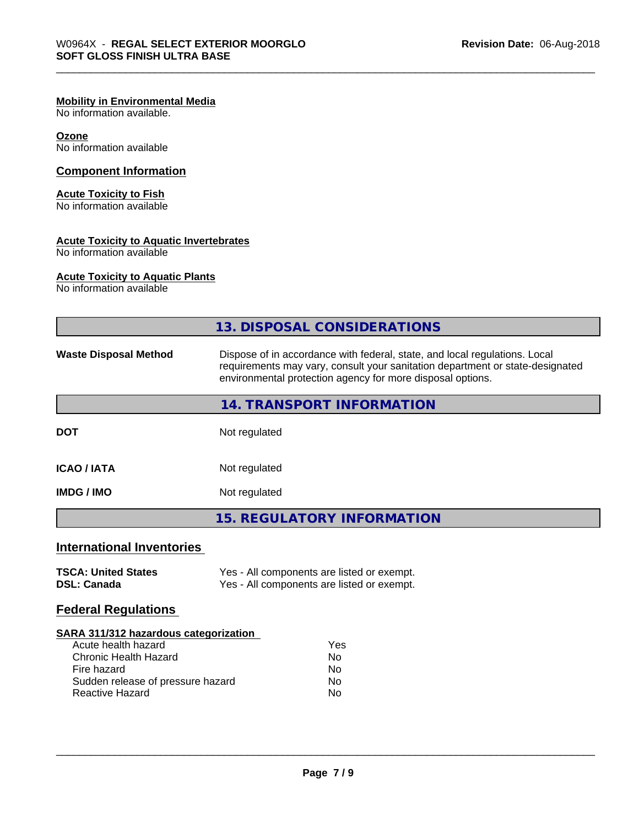#### **Mobility in Environmental Media**

No information available.

#### **Ozone** No information available

# **Component Information**

### **Acute Toxicity to Fish**

No information available

#### **Acute Toxicity to Aquatic Invertebrates**

No information available

#### **Acute Toxicity to Aquatic Plants**

No information available

|                                                  | 13. DISPOSAL CONSIDERATIONS                                                                                                                                                                                               |  |
|--------------------------------------------------|---------------------------------------------------------------------------------------------------------------------------------------------------------------------------------------------------------------------------|--|
| <b>Waste Disposal Method</b>                     | Dispose of in accordance with federal, state, and local regulations. Local<br>requirements may vary, consult your sanitation department or state-designated<br>environmental protection agency for more disposal options. |  |
|                                                  | 14. TRANSPORT INFORMATION                                                                                                                                                                                                 |  |
| <b>DOT</b>                                       | Not regulated                                                                                                                                                                                                             |  |
| <b>ICAO/IATA</b>                                 | Not regulated                                                                                                                                                                                                             |  |
| <b>IMDG/IMO</b>                                  | Not regulated                                                                                                                                                                                                             |  |
|                                                  | <b>15. REGULATORY INFORMATION</b>                                                                                                                                                                                         |  |
| <b>International Inventories</b>                 |                                                                                                                                                                                                                           |  |
| <b>TSCA: United States</b><br><b>DSL: Canada</b> | Yes - All components are listed or exempt.<br>Yes - All components are listed or exempt.                                                                                                                                  |  |
| <b>Federal Regulations</b>                       |                                                                                                                                                                                                                           |  |
| <b>SARA 311/312 hazardous categorization</b>     |                                                                                                                                                                                                                           |  |
| Acute health hazard                              | Yes                                                                                                                                                                                                                       |  |

| Y es |
|------|
| Nο   |
| N٥   |
| Nο   |
| N٥   |
|      |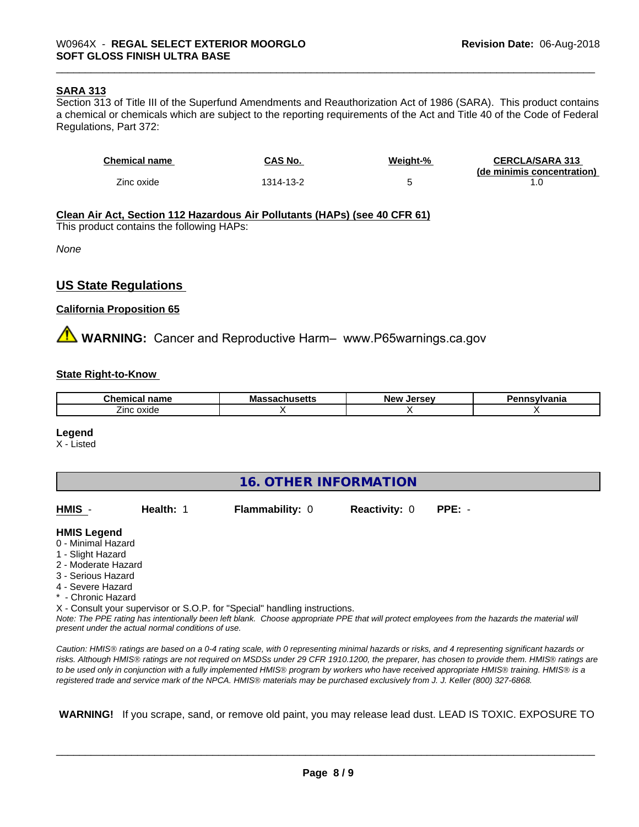#### **SARA 313**

Section 313 of Title III of the Superfund Amendments and Reauthorization Act of 1986 (SARA). This product contains a chemical or chemicals which are subject to the reporting requirements of the Act and Title 40 of the Code of Federal Regulations, Part 372:

| <b>Chemical name</b> | CAS No.   | Weight-% | <b>CERCLA/SARA 313</b>     |
|----------------------|-----------|----------|----------------------------|
|                      |           |          | (de minimis concentration) |
| Zinc oxide           | 1314-13-2 |          |                            |

**Clean Air Act,Section 112 Hazardous Air Pollutants (HAPs) (see 40 CFR 61)**

This product contains the following HAPs:

*None*

#### **US State Regulations**

#### **California Proposition 65**

**A** WARNING: Cancer and Reproductive Harm– www.P65warnings.ca.gov

#### **State Right-to-Know**

| -----<br>name<br>nar | . | <b>LOFCOL</b><br>Ne' | .<br>лю |
|----------------------|---|----------------------|---------|
| _<br>oxide<br>∠ınc   |   |                      |         |

#### **Legend**

X - Listed

| 16. OTHER INFORMATION |
|-----------------------|
|-----------------------|

| HMIS -              | Health: 1 | <b>Flammability: 0</b>                                                                                               | <b>Reactivity: 0</b> | $PPE: -$ |  |
|---------------------|-----------|----------------------------------------------------------------------------------------------------------------------|----------------------|----------|--|
| <b>HMIS Legend</b>  |           |                                                                                                                      |                      |          |  |
| 0 - Minimal Hazard  |           |                                                                                                                      |                      |          |  |
| 1 - Slight Hazard   |           |                                                                                                                      |                      |          |  |
| 2 - Moderate Hazard |           |                                                                                                                      |                      |          |  |
| 3 - Serious Hazard  |           |                                                                                                                      |                      |          |  |
| 4 - Severe Hazard   |           |                                                                                                                      |                      |          |  |
| * - Chronic Hazard  |           |                                                                                                                      |                      |          |  |
|                     |           | X - Consult your supervisor or S.O.P. for "Special" handling instructions.                                           |                      |          |  |
|                     |           | Nice The BBE seds a beachter and the beach the BBC of the BBC decided and and contained from the beach the second by |                      |          |  |

*Note: The PPE rating has intentionally been left blank. Choose appropriate PPE that will protect employees from the hazards the material will present under the actual normal conditions of use.*

*Caution: HMISÒ ratings are based on a 0-4 rating scale, with 0 representing minimal hazards or risks, and 4 representing significant hazards or risks. Although HMISÒ ratings are not required on MSDSs under 29 CFR 1910.1200, the preparer, has chosen to provide them. HMISÒ ratings are to be used only in conjunction with a fully implemented HMISÒ program by workers who have received appropriate HMISÒ training. HMISÒ is a registered trade and service mark of the NPCA. HMISÒ materials may be purchased exclusively from J. J. Keller (800) 327-6868.*

 **WARNING!** If you scrape, sand, or remove old paint, you may release lead dust. LEAD IS TOXIC. EXPOSURE TO